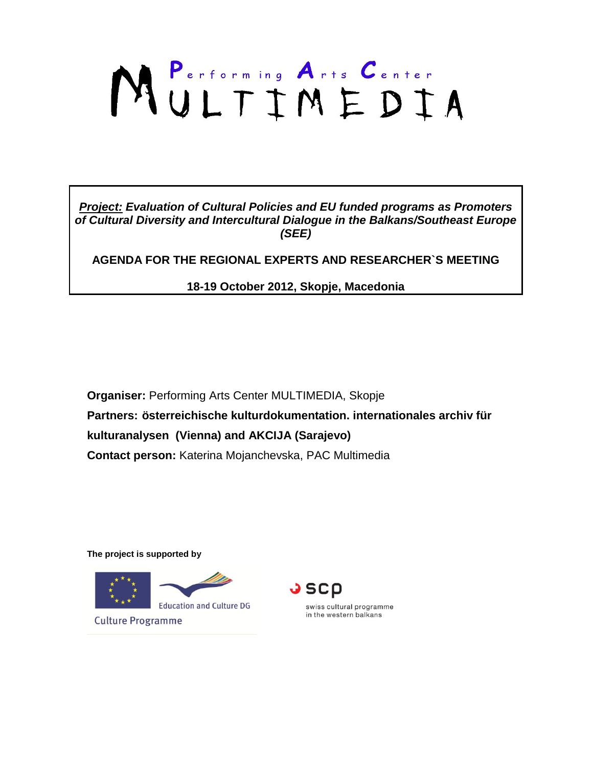# MULTIMEDIA

*Project: Evaluation of Cultural Policies and EU funded programs as Promoters of Cultural Diversity and Intercultural Dialogue in the Balkans/Southeast Europe (SEE)*

**AGENDA FOR THE REGIONAL EXPERTS AND RESEARCHER`S MEETING**

**18-19 October 2012, Skopje, Macedonia**

**Organiser:** Performing Arts Center MULTIMEDIA, Skopje **Partners: österreichische kulturdokumentation. internationales archiv für kulturanalysen (Vienna) and AKCIJA (Sarajevo) Contact person:** Katerina Mojanchevska, PAC Multimedia

**The project is supported by** 





swiss cultural programme in the western balkans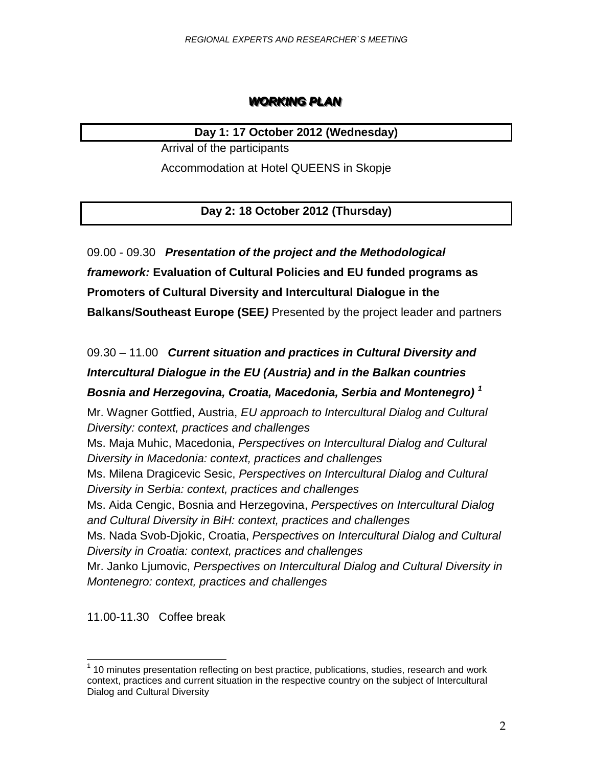# **WORKING PLAN**

### **Day 1: 17 October 2012 (Wednesday)**

Arrival of the participants

Accommodation at Hotel QUEENS in Skopje

**Day 2: 18 October 2012 (Thursday)**

09.00 - 09.30 *Presentation of the project and the Methodological framework:* **Evaluation of Cultural Policies and EU funded programs as Promoters of Cultural Diversity and Intercultural Dialogue in the Balkans/Southeast Europe (SEE***)* Presented by the project leader and partners

# 09.30 – 11.00 *Current situation and practices in Cultural Diversity and Intercultural Dialogue in the EU (Austria) and in the Balkan countries Bosnia and Herzegovina, Croatia, Macedonia, Serbia and Montenegro) <sup>1</sup>*

Mr. Wagner Gottfied, Austria, *EU approach to Intercultural Dialog and Cultural Diversity: context, practices and challenges*

Ms. Maja Muhic, Macedonia, *Perspectives on Intercultural Dialog and Cultural Diversity in Macedonia: context, practices and challenges*

Ms. Milena Dragicevic Sesic, *Perspectives on Intercultural Dialog and Cultural Diversity in Serbia: context, practices and challenges*

Ms. Aida Cengic, Bosnia and Herzegovina, *Perspectives on Intercultural Dialog and Cultural Diversity in BiH: context, practices and challenges*

Ms. Nada Svob-Djokic, Croatia, *Perspectives on Intercultural Dialog and Cultural Diversity in Croatia: context, practices and challenges*

Mr. Janko Ljumovic, *Perspectives on Intercultural Dialog and Cultural Diversity in Montenegro: context, practices and challenges*

11.00-11.30Coffee break

l

 $1$  10 minutes presentation reflecting on best practice, publications, studies, research and work context, practices and current situation in the respective country on the subject of Intercultural Dialog and Cultural Diversity